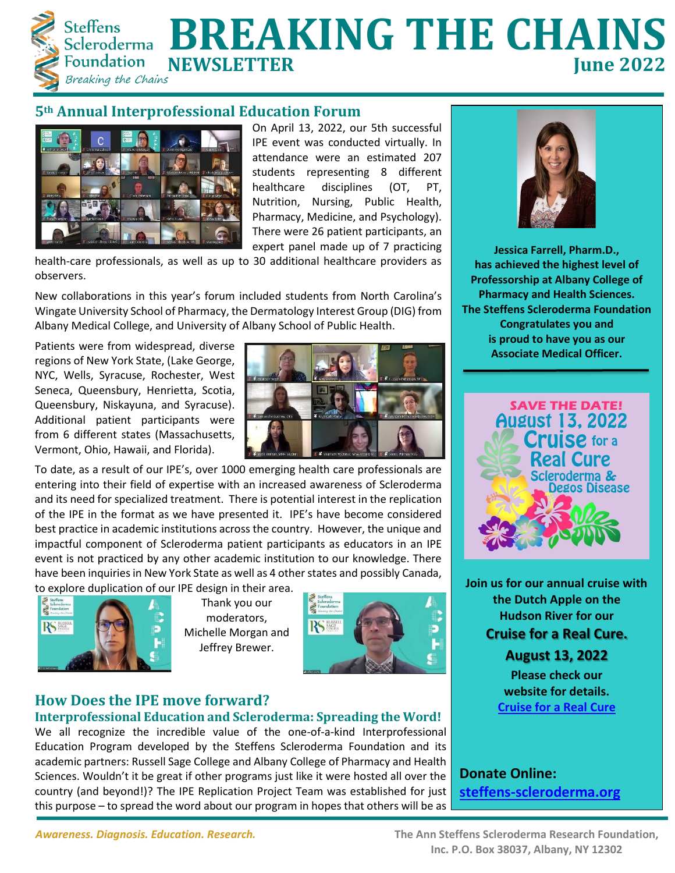Foundation

**Steffens** 

# **BREAKING THE CHAINS**<br>NEWSLETTER Scleroderma  $\frac{1}{\text{Breaking the Chains}} \textbf{NEWSLETTER}$

### **5th Annual Interprofessional Education Forum**



On April 13, 2022, our 5th successful IPE event was conducted virtually. In attendance were an estimated 207 students representing 8 different healthcare disciplines (OT, PT, Nutrition, Nursing, Public Health, Pharmacy, Medicine, and Psychology). There were 26 patient participants, an expert panel made up of 7 practicing

health-care professionals, as well as up to 30 additional healthcare providers as observers.

New collaborations in this year's forum included students from North Carolina's Wingate University School of Pharmacy, the Dermatology Interest Group (DIG) from Albany Medical College, and University of Albany School of Public Health.

Patients were from widespread, diverse regions of New York State, (Lake George, NYC, Wells, Syracuse, Rochester, West Seneca, Queensbury, Henrietta, Scotia, Queensbury, Niskayuna, and Syracuse). Additional patient participants were from 6 different states (Massachusetts, Vermont, Ohio, Hawaii, and Florida).



To date, as a result of our IPE's, over 1000 emerging health care professionals are entering into their field of expertise with an increased awareness of Scleroderma and its need for specialized treatment. There is potential interest in the replication of the IPE in the format as we have presented it. IPE's have become considered best practice in academic institutions across the country. However, the unique and impactful component of Scleroderma patient participants as educators in an IPE event is not practiced by any other academic institution to our knowledge. There have been inquiries in New York State as well as 4 other states and possibly Canada,

to explore duplication of our IPE design in their area.



Thank you our moderators, Michelle Morgan and Jeffrey Brewer.



# **How Does the IPE move forward?**

**Interprofessional Education and Scleroderma: Spreading the Word!** We all recognize the incredible value of the one-of-a-kind Interprofessional Education Program developed by the Steffens Scleroderma Foundation and its academic partners: Russell Sage College and Albany College of Pharmacy and Health Sciences. Wouldn't it be great if other programs just like it were hosted all over the country (and beyond!)? The IPE Replication Project Team was established for just this purpose – to spread the word about our program in hopes that others will be as



**Jessica Farrell, Pharm.D., has achieved the highest level of Professorship at Albany College of Pharmacy and Health Sciences. The Steffens Scleroderma Foundation Congratulates you and is proud to have you as our Associate Medical Officer.** 



**Join us for our annual cruise with the Dutch Apple on the Hudson River for our Cruise for a Real Cure.**

**August 13, 2022 Please check our website for details. [Cruise for a Real Cure](about:blank)**

**Donate Online: [steffens-scleroderma.org](about:blank)**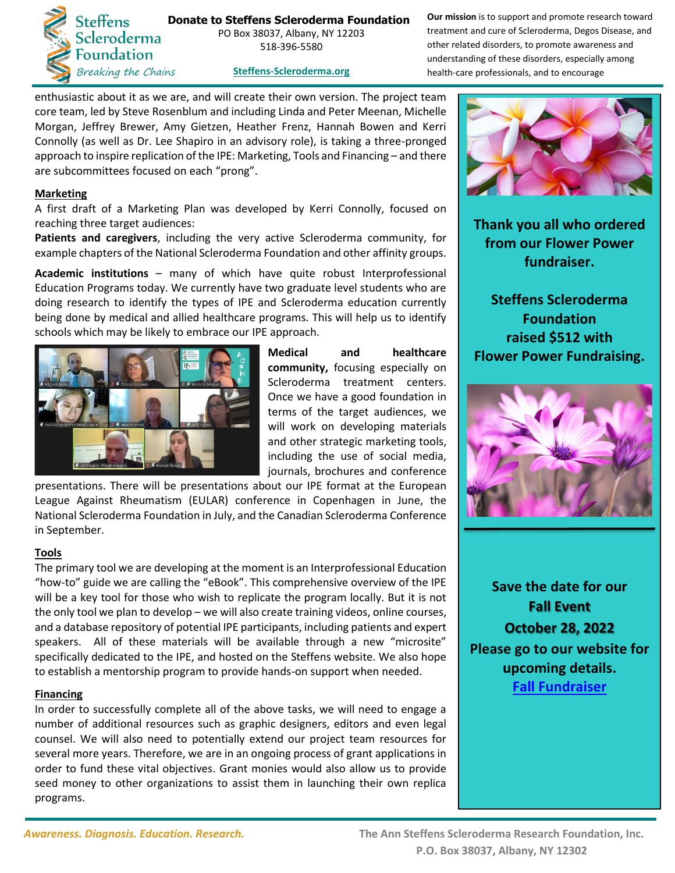

**Donate to Steffens Scleroderma Foundation** 

PO Box 38037, Albany, NY 12203 518-396-5580

**[Steffens-Scleroderma.org](about:blank)**

**Our mission** is to support and promote research toward treatment and cure of Scleroderma, Degos Disease, and other related disorders, to promote awareness and understanding of these disorders, especially among health-care professionals, and to encourage

enthusiastic about it as we are, and will create their own version. The project team core team, led by Steve Rosenblum and including Linda and Peter Meenan, Michelle Morgan, Jeffrey Brewer, Amy Gietzen, Heather Frenz, Hannah Bowen and Kerri Connolly (as well as Dr. Lee Shapiro in an advisory role), is taking a three-pronged approach to inspire replication of the IPE: Marketing, Tools and Financing – and there are subcommittees focused on each "prong".

#### **Marketing**

A first draft of a Marketing Plan was developed by Kerri Connolly, focused on reaching three target audiences:

**Patients and caregivers**, including the very active Scleroderma community, for example chapters of the National Scleroderma Foundation and other affinity groups.

**Academic institutions** – many of which have quite robust Interprofessional Education Programs today. We currently have two graduate level students who are doing research to identify the types of IPE and Scleroderma education currently being done by medical and allied healthcare programs. This will help us to identify schools which may be likely to embrace our IPE approach.



**Medical and healthcare community,** focusing especially on Scleroderma treatment centers. Once we have a good foundation in terms of the target audiences, we will work on developing materials and other strategic marketing tools, including the use of social media, journals, brochures and conference

presentations. There will be presentations about our IPE format at the European League Against Rheumatism (EULAR) conference in Copenhagen in June, the National Scleroderma Foundation in July, and the Canadian Scleroderma Conference in September.

#### **Tools**

The primary tool we are developing at the moment is an Interprofessional Education "how-to" guide we are calling the "eBook". This comprehensive overview of the IPE will be a key tool for those who wish to replicate the program locally. But it is not the only tool we plan to develop – we will also create training videos, online courses, and a database repository of potential IPE participants, including patients and expert speakers. All of these materials will be available through a new "microsite" specifically dedicated to the IPE, and hosted on the Steffens website. We also hope to establish a mentorship program to provide hands-on support when needed.

#### **Financing**

In order to successfully complete all of the above tasks, we will need to engage a number of additional resources such as graphic designers, editors and even legal counsel. We will also need to potentially extend our project team resources for several more years. Therefore, we are in an ongoing process of grant applications in order to fund these vital objectives. Grant monies would also allow us to provide seed money to other organizations to assist them in launching their own replica programs.



**Thank you all who ordered from our Flower Power fundraiser.** 

**Steffens Scleroderma Foundation raised \$512 with Flower Power Fundraising.**



**Save the date for our Fall Event October 28, 2022 Please go to our website for upcoming details. [Fall Fundraiser](about:blank)**